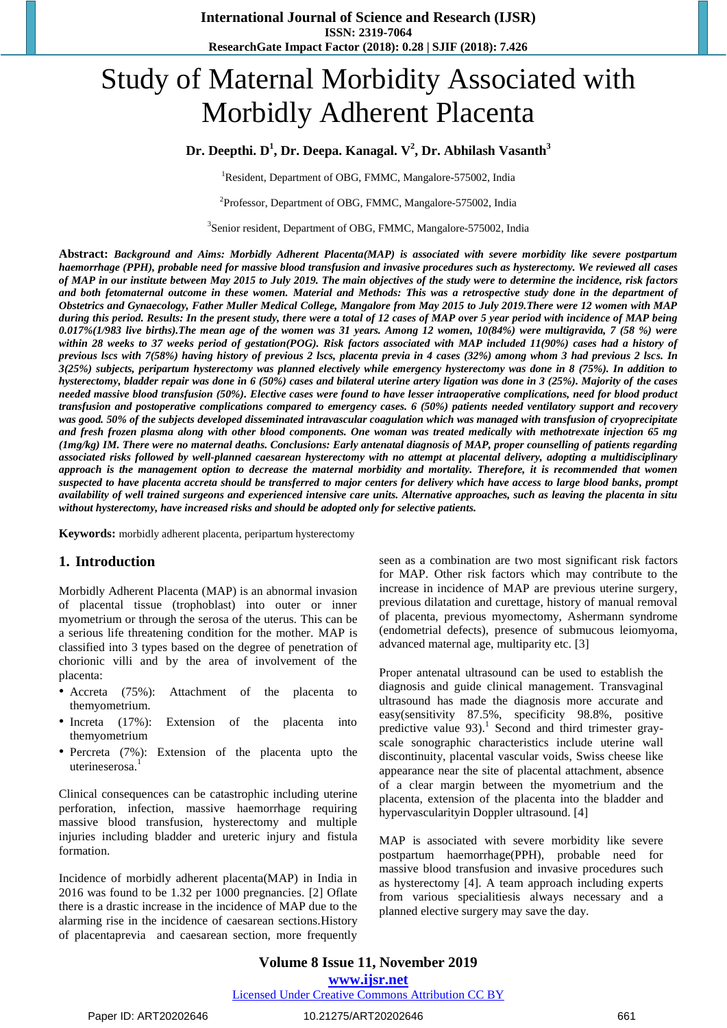# Study of Maternal Morbidity Associated with Morbidly Adherent Placenta

**Dr. Deepthi. D<sup>1</sup> , Dr. Deepa. Kanagal. V<sup>2</sup> , Dr. Abhilash Vasanth<sup>3</sup>**

<sup>1</sup>Resident, Department of OBG, FMMC, Mangalore-575002, India

<sup>2</sup>Professor, Department of OBG, FMMC, Mangalore-575002, India

<sup>3</sup>Senior resident, Department of OBG, FMMC, Mangalore-575002, India

**Abstract:** *Background and Aims: Morbidly Adherent Placenta(MAP) is associated with severe morbidity like severe postpartum haemorrhage (PPH), probable need for massive blood transfusion and invasive procedures such as hysterectomy. We reviewed all cases of MAP in our institute between May 2015 to July 2019. The main objectives of the study were to determine the incidence, risk factors and both fetomaternal outcome in these women. Material and Methods: This was a retrospective study done in the department of Obstetrics and Gynaecology, Father Muller Medical College, Mangalore from May 2015 to July 2019.There were 12 women with MAP during this period. Results: In the present study, there were a total of 12 cases of MAP over 5 year period with incidence of MAP being 0.017%(1/983 live births).The mean age of the women was 31 years. Among 12 women, 10(84%) were multigravida, 7 (58 %) were*  within 28 weeks to 37 weeks period of gestation(POG). Risk factors associated with MAP included 11(90%) cases had a history of *previous lscs with 7(58%) having history of previous 2 lscs, placenta previa in 4 cases (32%) among whom 3 had previous 2 lscs. In 3(25%) subjects, peripartum hysterectomy was planned electively while emergency hysterectomy was done in 8 (75%). In addition to hysterectomy, bladder repair was done in 6 (50%) cases and bilateral uterine artery ligation was done in 3 (25%). Majority of the cases needed massive blood transfusion (50%). Elective cases were found to have lesser intraoperative complications, need for blood product transfusion and postoperative complications compared to emergency cases. 6 (50%) patients needed ventilatory support and recovery was good. 50% of the subjects developed disseminated intravascular coagulation which was managed with transfusion of cryoprecipitate and fresh frozen plasma along with other blood components. One woman was treated medically with methotrexate injection 65 mg (1mg/kg) IM. There were no maternal deaths. Conclusions: Early antenatal diagnosis of MAP, proper counselling of patients regarding associated risks followed by well-planned caesarean hysterectomy with no attempt at placental delivery, adopting a multidisciplinary approach is the management option to decrease the maternal morbidity and mortality. Therefore, it is recommended that women suspected to have placenta accreta should be transferred to major centers for delivery which have access to large blood banks, prompt availability of well trained surgeons and experienced intensive care units. Alternative approaches, such as leaving the placenta in situ without hysterectomy, have increased risks and should be adopted only for selective patients.*

**Keywords:** morbidly adherent placenta, peripartum hysterectomy

#### **1. Introduction**

Morbidly Adherent Placenta (MAP) is an abnormal invasion of placental tissue (trophoblast) into outer or inner myometrium or through the serosa of the uterus. This can be a serious life threatening condition for the mother. MAP is classified into 3 types based on the degree of penetration of chorionic villi and by the area of involvement of the placenta:

- Accreta (75%): Attachment of the placenta to themyometrium.
- Increta (17%): Extension of the placenta into themyometrium
- Percreta (7%): Extension of the placenta upto the uterineserosa. 1

Clinical consequences can be catastrophic including uterine perforation, infection, massive haemorrhage requiring massive blood transfusion, hysterectomy and multiple injuries including bladder and ureteric injury and fistula formation.

Incidence of morbidly adherent placenta(MAP) in India in 2016 was found to be 1.32 per 1000 pregnancies. [2] Oflate there is a drastic increase in the incidence of MAP due to the alarming rise in the incidence of caesarean sections.History of placentaprevia and caesarean section, more frequently

seen as a combination are two most significant risk factors for MAP. Other risk factors which may contribute to the increase in incidence of MAP are previous uterine surgery, previous dilatation and curettage, history of manual removal of placenta, previous myomectomy, Ashermann syndrome (endometrial defects), presence of submucous leiomyoma, advanced maternal age, multiparity etc. [3]

Proper antenatal ultrasound can be used to establish the diagnosis and guide clinical management. Transvaginal ultrasound has made the diagnosis more accurate and easy(sensitivity 87.5%, specificity 98.8%, positive predictive value 93).<sup>1</sup> Second and third trimester grayscale sonographic characteristics include uterine wall discontinuity, placental vascular voids, Swiss cheese like appearance near the site of placental attachment, absence of a clear margin between the myometrium and the placenta, extension of the placenta into the bladder and hypervascularityin Doppler ultrasound. [4]

MAP is associated with severe morbidity like severe postpartum haemorrhage(PPH), probable need for massive blood transfusion and invasive procedures such as hysterectomy [4]. A team approach including experts from various specialitiesis always necessary and a planned elective surgery may save the day.

**Volume 8 Issue 11, November 2019 www.ijsr.net** Licensed Under Creative Commons Attribution CC BY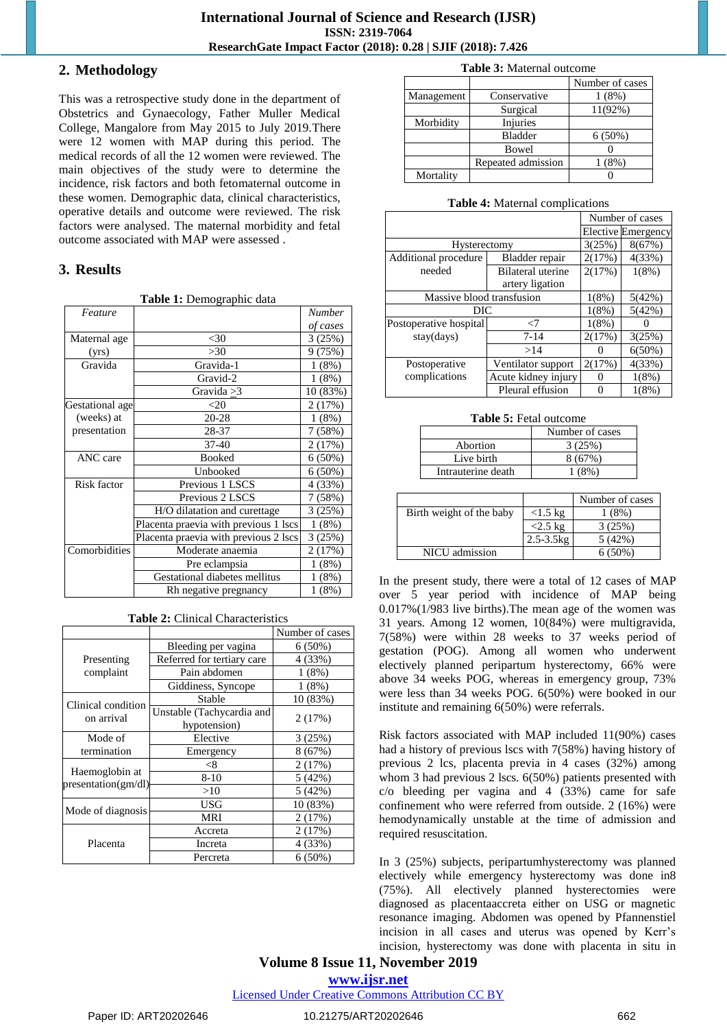### **2. Methodology**

This was a retrospective study done in the department of Obstetrics and Gynaecology, Father Muller Medical College, Mangalore from May 2015 to July 2019.There were 12 women with MAP during this period. The medical records of all the 12 women were reviewed. The main objectives of the study were to determine the incidence, risk factors and both fetomaternal outcome in these women. Demographic data, clinical characteristics, operative details and outcome were reviewed. The risk factors were analysed. The maternal morbidity and fetal outcome associated with MAP were assessed .

# **3. Results**

**Table 1:** Demographic data

| <b>Table 1.</b> Demographic data |                                       |               |
|----------------------------------|---------------------------------------|---------------|
| Feature                          |                                       | <b>Number</b> |
|                                  |                                       | of cases      |
| Maternal age                     | $<$ 30                                | 3(25%)        |
| (yrs)                            | >30                                   | 9 (75%)       |
| Gravida                          | Gravida-1                             | 1(8%)         |
|                                  | Gravid-2                              | 1(8%)         |
|                                  | Gravida $\geq$ 3                      | 10 (83%)      |
| Gestational age                  | $<$ 20                                | 2(17%)        |
| (weeks) at                       | 20-28                                 | 1(8%)         |
| presentation                     | 28-37                                 | 7(58%)        |
|                                  | $37 - 40$                             | 2(17%)        |
| ANC care                         | <b>Booked</b>                         | $6(50\%)$     |
|                                  | Unbooked                              | $6(50\%)$     |
| Risk factor                      | Previous 1 LSCS                       | 4 (33%)       |
|                                  | Previous 2 LSCS                       | 7(58%)        |
|                                  | H/O dilatation and curettage          | 3(25%)        |
|                                  | Placenta praevia with previous 1 lscs | 1(8%)         |
|                                  | Placenta praevia with previous 2 lscs | 3(25%)        |
| Comorbidities                    | Moderate anaemia                      | 2 (17%)       |
|                                  | Pre eclampsia                         | 1(8%)         |
|                                  | Gestational diabetes mellitus         | 1(8%)         |
|                                  | Rh negative pregnancy                 | 1(8%)         |

**Table 2:** Clinical Characteristics

|                                       |                            | Number of cases |
|---------------------------------------|----------------------------|-----------------|
|                                       | Bleeding per vagina        | $6(50\%)$       |
| Presenting                            | Referred for tertiary care | 4 (33%)         |
| complaint                             | Pain abdomen               | 1(8%)           |
|                                       | Giddiness, Syncope         | 1(8%)           |
| Clinical condition                    | Stable                     | 10(83%)         |
| on arrival                            | Unstable (Tachycardia and  | 2(17%)          |
|                                       | hypotension)               |                 |
| Mode of                               | Elective                   | 3(25%)          |
| termination                           | Emergency                  | 8(67%)          |
|                                       | $<\!\!8$                   | 2(17%)          |
| Haemoglobin at<br>presentation(gm/dl) | $8 - 10$                   | 5(42%)          |
|                                       | >10                        | 5(42%)          |
| Mode of diagnosis                     | <b>USG</b>                 | 10 (83%)        |
|                                       | <b>MRI</b>                 | 2(17%)          |
|                                       | Accreta                    | 2(17%)          |
| Placenta                              | Increta                    | 4 (33%)         |
|                                       | Percreta                   | $6(50\%)$       |

**Table 3:** Maternal outcome

|            |                    | Number of cases |
|------------|--------------------|-----------------|
| Management | Conservative       | 1(8%)           |
|            | Surgical           | 11(92%)         |
| Morbidity  | Injuries           |                 |
|            | <b>Bladder</b>     | $6(50\%)$       |
|            | Bowel              |                 |
|            | Repeated admission | 1(8%)           |
| Mortality  |                    |                 |

| Table 4: Maternal complications |  |
|---------------------------------|--|
|---------------------------------|--|

|                           |                          |                   | Number of cases           |
|---------------------------|--------------------------|-------------------|---------------------------|
|                           |                          |                   | <b>Elective Emergency</b> |
| Hysterectomy              |                          | 3(25%)            | 8(67%)                    |
| Additional procedure      | Bladder repair           | 2(17%)            | 4(33%)                    |
| needed                    | <b>Bilateral</b> uterine | 2(17%)            | 1(8%)                     |
|                           | artery ligation          |                   |                           |
| Massive blood transfusion |                          | 1(8%)             | 5(42%)                    |
| DIC                       |                          | 1(8%)             | 5(42%)                    |
| Postoperative hospital    | -7                       | 1(8%)             |                           |
| stay(days)                | $7 - 14$                 | 2(17%)            | 3(25%)                    |
|                           | >14                      |                   | $6(50\%)$                 |
| Postoperative             | Ventilator support       | 2(17%)            | 4(33%)                    |
| complications             | Acute kidney injury      | $\mathbf{\Omega}$ | 1(8%)                     |
|                           | Pleural effusion         |                   | $1(8\%)$                  |

**Table 5:** Fetal outcome

|                    | Number of cases |
|--------------------|-----------------|
| Abortion           | 3(25%)          |
| Live birth         | 8 (67%)         |
| Intrauterine death |                 |

|                          |                | Number of cases |
|--------------------------|----------------|-----------------|
| Birth weight of the baby | $<1.5$ kg      | (8%)            |
|                          | $<$ 2.5 kg     | 3(25%)          |
|                          | $2.5 - 3.5$ kg | 5(42%)          |
| NICU admission           |                | 6 (50%)         |

In the present study, there were a total of 12 cases of MAP over 5 year period with incidence of MAP being 0.017%(1/983 live births).The mean age of the women was 31 years. Among 12 women, 10(84%) were multigravida, 7(58%) were within 28 weeks to 37 weeks period of gestation (POG). Among all women who underwent electively planned peripartum hysterectomy, 66% were above 34 weeks POG, whereas in emergency group, 73% were less than 34 weeks POG. 6(50%) were booked in our institute and remaining 6(50%) were referrals.

Risk factors associated with MAP included 11(90%) cases had a history of previous lscs with 7(58%) having history of previous 2 lcs, placenta previa in 4 cases (32%) among whom 3 had previous 2 lscs.  $6(50\%)$  patients presented with c/o bleeding per vagina and 4 (33%) came for safe confinement who were referred from outside. 2 (16%) were hemodynamically unstable at the time of admission and required resuscitation.

In 3 (25%) subjects, peripartumhysterectomy was planned electively while emergency hysterectomy was done in8 (75%). All electively planned hysterectomies were diagnosed as placentaaccreta either on USG or magnetic resonance imaging. Abdomen was opened by Pfannenstiel incision in all cases and uterus was opened by Kerr's incision, hysterectomy was done with placenta in situ in

# **Volume 8 Issue 11, November 2019 www.ijsr.net**

Licensed Under Creative Commons Attribution CC BY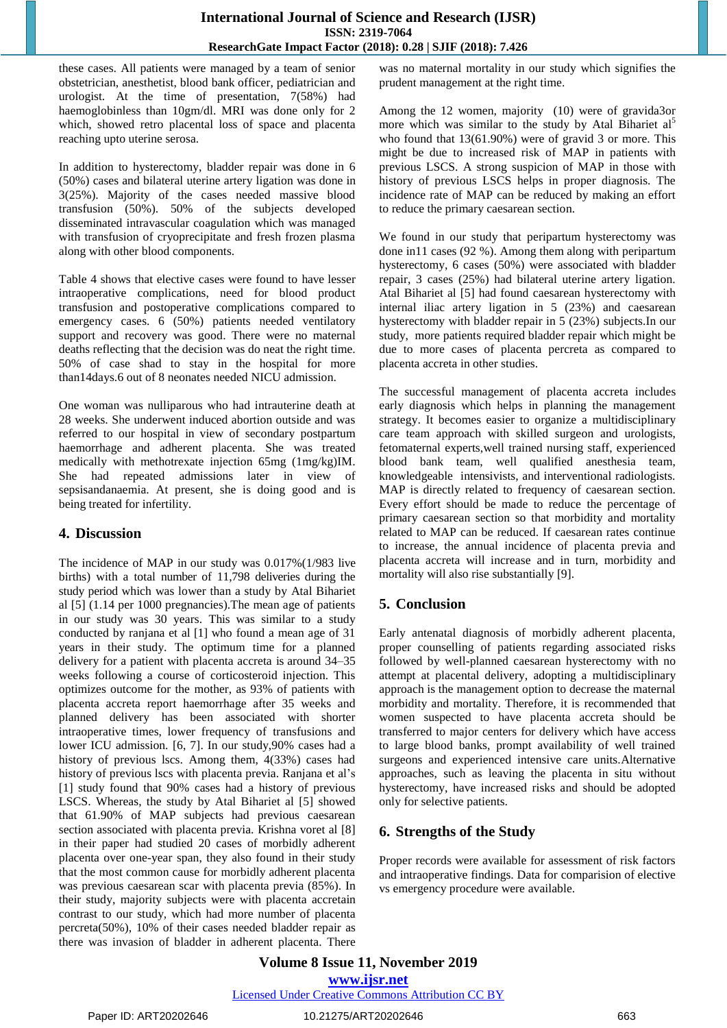#### **International Journal of Science and Research (IJSR) ISSN: 2319-7064 ResearchGate Impact Factor (2018): 0.28 | SJIF (2018): 7.426**

these cases. All patients were managed by a team of senior obstetrician, anesthetist, blood bank officer, pediatrician and urologist. At the time of presentation, 7(58%) had haemoglobinless than 10gm/dl. MRI was done only for 2 which, showed retro placental loss of space and placenta reaching upto uterine serosa.

In addition to hysterectomy, bladder repair was done in 6 (50%) cases and bilateral uterine artery ligation was done in 3(25%). Majority of the cases needed massive blood transfusion (50%). 50% of the subjects developed disseminated intravascular coagulation which was managed with transfusion of cryoprecipitate and fresh frozen plasma along with other blood components.

Table 4 shows that elective cases were found to have lesser intraoperative complications, need for blood product transfusion and postoperative complications compared to emergency cases. 6 (50%) patients needed ventilatory support and recovery was good. There were no maternal deaths reflecting that the decision was do neat the right time. 50% of case shad to stay in the hospital for more than14days.6 out of 8 neonates needed NICU admission.

One woman was nulliparous who had intrauterine death at 28 weeks. She underwent induced abortion outside and was referred to our hospital in view of secondary postpartum haemorrhage and adherent placenta. She was treated medically with methotrexate injection 65mg (1mg/kg)IM. She had repeated admissions later in view of sepsisandanaemia. At present, she is doing good and is being treated for infertility.

# **4. Discussion**

The incidence of MAP in our study was 0.017%(1/983 live births) with a total number of 11,798 deliveries during the study period which was lower than a study by Atal Bihariet al [5] (1.14 per 1000 pregnancies).The mean age of patients in our study was 30 years. This was similar to a study conducted by ranjana et al [1] who found a mean age of 31 years in their study. The optimum time for a planned delivery for a patient with placenta accreta is around 34–35 weeks following a course of corticosteroid injection. This optimizes outcome for the mother, as 93% of patients with placenta accreta report haemorrhage after 35 weeks and planned delivery has been associated with shorter intraoperative times, lower frequency of transfusions and lower ICU admission. [6, 7]. In our study,90% cases had a history of previous lscs. Among them, 4(33%) cases had history of previous lscs with placenta previa. Ranjana et al's [1] study found that 90% cases had a history of previous LSCS. Whereas, the study by Atal Bihariet al [5] showed that 61.90% of MAP subjects had previous caesarean section associated with placenta previa. Krishna voret al [8] in their paper had studied 20 cases of morbidly adherent placenta over one-year span, they also found in their study that the most common cause for morbidly adherent placenta was previous caesarean scar with placenta previa (85%). In their study, majority subjects were with placenta accretain contrast to our study, which had more number of placenta percreta(50%), 10% of their cases needed bladder repair as there was invasion of bladder in adherent placenta. There

was no maternal mortality in our study which signifies the prudent management at the right time.

Among the 12 women, majority (10) were of gravida3or more which was similar to the study by Atal Bihariet al<sup>5</sup> who found that 13(61.90%) were of gravid 3 or more. This might be due to increased risk of MAP in patients with previous LSCS. A strong suspicion of MAP in those with history of previous LSCS helps in proper diagnosis. The incidence rate of MAP can be reduced by making an effort to reduce the primary caesarean section.

We found in our study that peripartum hysterectomy was done in11 cases (92 %). Among them along with peripartum hysterectomy, 6 cases (50%) were associated with bladder repair, 3 cases (25%) had bilateral uterine artery ligation. Atal Bihariet al [5] had found caesarean hysterectomy with internal iliac artery ligation in 5 (23%) and caesarean hysterectomy with bladder repair in 5 (23%) subjects.In our study, more patients required bladder repair which might be due to more cases of placenta percreta as compared to placenta accreta in other studies.

The successful management of placenta accreta includes early diagnosis which helps in planning the management strategy. It becomes easier to organize a multidisciplinary care team approach with skilled surgeon and urologists, fetomaternal experts,well trained nursing staff, experienced blood bank team, well qualified anesthesia team, knowledgeable intensivists, and interventional radiologists. MAP is directly related to frequency of caesarean section. Every effort should be made to reduce the percentage of primary caesarean section so that morbidity and mortality related to MAP can be reduced. If caesarean rates continue to increase, the annual incidence of placenta previa and placenta accreta will increase and in turn, morbidity and mortality will also rise substantially [9].

# **5. Conclusion**

Early antenatal diagnosis of morbidly adherent placenta, proper counselling of patients regarding associated risks followed by well-planned caesarean hysterectomy with no attempt at placental delivery, adopting a multidisciplinary approach is the management option to decrease the maternal morbidity and mortality. Therefore, it is recommended that women suspected to have placenta accreta should be transferred to major centers for delivery which have access to large blood banks, prompt availability of well trained surgeons and experienced intensive care units.Alternative approaches, such as leaving the placenta in situ without hysterectomy, have increased risks and should be adopted only for selective patients.

# **6. Strengths of the Study**

Proper records were available for assessment of risk factors and intraoperative findings. Data for comparision of elective vs emergency procedure were available.

**Volume 8 Issue 11, November 2019 www.ijsr.net** Licensed Under Creative Commons Attribution CC BY